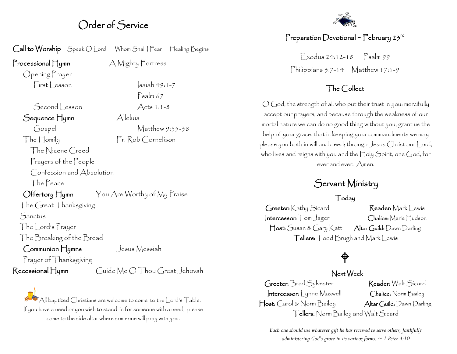### Order of Service

Call to Worship Speak O Lord Whom Shall | Fear Healing Begins

Processional Hymn A Mighty Fortress

Opening Prayer  $First  $|$  esson  $|$  saiah 49:1-7$ 

Second Lesson Acts 1:1-8

Sequence Hymn Alleluía

Gospel Matthew 9:35-38 The Homily Fr. Rob Cornelison

 The Nicene Creed Prayers of the People Confession and Absolution

The Peace

Offertory Hymn You Are Worthy of My Praise

Psalm 67

The Great Thanksgiving **Sanctus** The Lord's Prayer

The Breaking of the Bread

Communion Hymns Jesus Messiah

Prayer of Thanksgiving

Recessional Hymn Guide Me O Thou Great Jehovah

All baptized Christians are welcome to come to the Lord's Table. If you have a need or you wish to stand in for someone with a need, please come to the side altar where someone will pray with you.

#### Preparation Devotional ~ February 23 $^{\sf rd}$

 $F$  xodus 24:12-18  $Psalm99$ Philippians  $3:7-14$  Matthew  $17:1-9$ 

#### The Collect

O God, the strength of all who put their trust in you: mercifully accept our prayers, and because through the weakness of our mortal nature we can do no good thing without you, grant us the help of your grace, that in keeping your commandments we may please you both in will and deed; through Jesus Christ our Lord, who lives and reigns with you and the Holy Spirit, one God, for ever and ever. Amen.

### Servant Ministry

#### Today

Greeter: Kathy Sicard Reader: Mark Lewis Intercessor: Tom Jager Chalice: Marie Hudson Host: Susan & Gary Katt Altar Guild: Dawn Darling Tellers: Todd Brugh and Mark Lewis

# $\hat{\mathsf{P}}$

#### Next Week

Greeter: Brad Sylvester Reader: Walt Sicard Intercessor: Lynne Maxwell Chalice: Norm Bailey Host: Carol & Norm Bailey Altar Guild: Dawn Darling Tellers: Norm Bailey and Walt Sicard

*Each one should use whatever gift he has received to serve others, faithfully administering God's grace in its various forms. ~ 1 Peter 4:10*